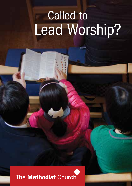# Called to Lead Worship?

#### ⇔ The Methodist Church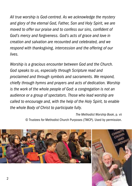*All true worship is God-centred. As we acknowledge the mystery and glory of the eternal God, Father, Son and Holy Spirit, we are moved to offer our praise and to confess our sins, confident of God's mercy and forgiveness. God's acts of grace and love in creation and salvation are recounted and celebrated, and we respond with thanksgiving, intercession and the offering of our lives.*

*Worship is a gracious encounter between God and the Church. God speaks to us, especially through Scripture read and proclaimed and through symbols and sacraments. We respond, chiefly through hymns and prayers and acts of dedication. Worship is the work of the whole people of God: a congregation is not an audience or a group of spectators. Those who lead worship are called to encourage and, with the help of the Holy Spirit, to enable the whole Body of Christ to participate fully.* 

> *The Methodist Worship Book*, p. vii © Trustees for Methodist Church Purposes (TMCP). Used by permission.

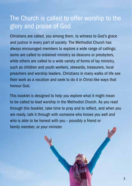#### The Church is called to offer worship to the glory and praise of God

Christians are called, you among them, to witness to God's grace and justice in every part of society. The Methodist Church has always encouraged members to explore a wide range of callings: some are called to ordained ministry as deacons or presbyters, while others are called to a wide variety of forms of lay ministry, such as children and youth workers, stewards, treasurers, local preachers and worship leaders. Christians in many walks of life see their work as a vocation and seek to do it in Christ-like ways that honour God.

This booklet is designed to help you explore what it might mean to be called to lead worship in the Methodist Church. As you read through this booklet, take time to pray and to reflect, and when you are ready, talk it through with someone who knows you well and who is able to be honest with you – possibly a friend or family member, or your minister.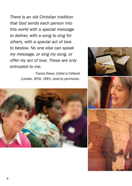*There is an old Christian tradition that God sends each person into this world with a special message to deliver, with a song to sing for others, with a special act of love to bestow. No one else can speak my message, or sing my song, or offer my act of love. These are only entrusted to me.*

> Francis Dewar, *Called or Collared* (London, SPCK, 1991). Used by permission.







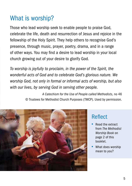## What is worship?

Those who lead worship seek to enable people to praise God, celebrate the life, death and resurrection of Jesus and rejoice in the fellowship of the Holy Spirit. They help others to recognise God's presence, through music, prayer, poetry, drama, and in a range of other ways. You may find a desire to lead worship in your local church growing out of your desire to glorify God.

*To worship is joyfully to proclaim, in the power of the Spirit, the wonderful acts of God and to celebrate God's glorious nature. We worship God, not only in formal or informal acts of worship, but also with our lives, by serving God in serving other people.*

> *A Catechism for the Use of People called Methodists*, no 46 © Trustees for Methodist Church Purposes (TMCP). Used by permission.



#### Reflect

- Read the extract from *The Methodist Worship Book* on page 2 of this booklet.
- What does worship mean to you?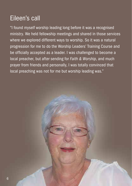## Eileen's call

"I found myself worship leading long before it was a recognised ministry. We held fellowship meetings and shared in those services where we explored different ways to worship. So it was a natural progression for me to do the Worship Leaders' Training Course and be officially accepted as a leader. I was challenged to become a local preacher, but after sending for *Faith & Worship*, and much prayer from friends and personally, I was totally convinced that local preaching was not for me but worship leading was."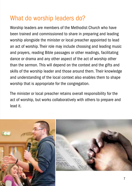### What do worship leaders do?

Worship leaders are members of the Methodist Church who have been trained and commissioned to share in preparing and leading worship alongside the minister or local preacher appointed to lead an act of worship. Their role may include choosing and leading music and prayers, reading Bible passages or other readings, facilitating dance or drama and any other aspect of the act of worship other than the sermon. This will depend on the context and the gifts and skills of the worship leader and those around them. Their knowledge and understanding of the local context also enables them to shape worship that is appropriate for the congregation.

The minister or local preacher retains overall responsibility for the act of worship, but works collaboratively with others to prepare and lead it.

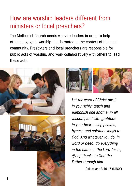### How are worship leaders different from ministers or local preachers?

The Methodist Church needs worship leaders in order to help others engage in worship that is rooted in the context of the local community. Presbyters and local preachers are responsible for public acts of worship, and work collaboratively with others to lead these acts.

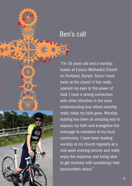#### Ben's call

"I'm 16 years old and a worship leader at Easton Methodist Church on Portland, Dorset. Since I have been at the church it has really opened my eyes to the power of God. I have a strong connection with other churches in the area: understanding how others worship really helps my faith grow. Worship leading has been an amazing way to express my faith and evangelise the message to members of my local community. I have been leading worship at my church regularly at a mid-week evening service and really enjoy the response and being able to get involved with something I feel passionately about."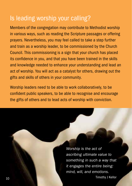#### Is leading worship your calling?

Members of the congregation may contribute to Methodist worship in various ways, such as reading the Scripture passages or offering prayers. Nevertheless, you may feel called to take a step further and train as a worship leader, to be commissioned by the Church Council. This commissioning is a sign that your church has placed its confidence in you, and that you have been trained in the skills and knowledge needed to enhance your understanding and lead an act of worship. You will act as a catalyst for others, drawing out the gifts and skills of others in your community.

Worship leaders need to be able to work collaboratively, to be confident public speakers, to be able to recognise and encourage the gifts of others and to lead acts of worship with conviction.

*Worship is the act of ascribing ultimate value to something in such a way that it engages the entire being: mind, will, and emotions.* Timothy J Kellor 10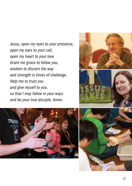*Jesus, open my eyes to your presence, open my ears to your call, open my heart to your love. Grant me grace to follow you, wisdom to discern the way and strength in times of challenge. Help me to trust you and give myself to you, so that I may follow in your ways and be your true disciple. Amen.*







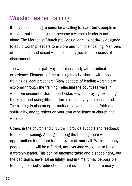## Worship leader training

It may feel daunting to consider a calling to lead God's people in worship, but the decision to become a worship leader is not taken alone. The Methodist Church provides a learning pathway designed to equip worship leaders to explore and fulfil their calling. Members of the church and circuit will accompany you in the process of discernment.

The worship leader pathway combines study with practical experience. Elements of the training may be shared with those training as local preachers. Many aspects of leading worship are explored through the training, reflecting the countless ways in which we encounter God. In particular, ways of praying, exploring the Bible, and using different forms of creativity are considered. The training is also an opportunity to grow in personal faith and spirituality, and to reflect on your own experience of church and worship.

Others in the church and circuit will provide support and feedback to those in training. At stages during the training there will be opportunities for a more formal review of your call. While for many people the call will be affirmed, not everyone will go on to become a worship leader. This can be uncomfortable and disappointing, but the decision is never taken lightly, and in time it may be possible to recognise God's redirection in that outcome. There are many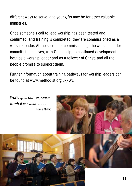different ways to serve, and your gifts may be for other valuable ministries.

Once someone's call to lead worship has been tested and confirmed, and training is completed, they are commissioned as a worship leader. At the service of commissioning, the worship leader commits themselves, with God's help, to continued development both as a worship leader and as a follower of Christ, and all the people promise to support them.

Further information about training pathways for worship leaders can be found at www.methodist.org.uk/WL.

*Worship is our response to what we value most.* Louie Giglio

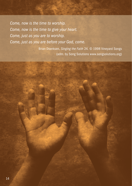*Come, now is the time to worship. Come, now is the time to give your heart. Come, just as you are to worship. Come, just as you are before your God, come.*

> Brian Doerksen, *Singing the Faith* 24. © 1998 Vineyard Songs (adm. by Song Solutions www.songsolutions.org)

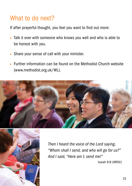#### What to do next?

If after prayerful thought, you feel you want to find out more:

- Talk it over with someone who knows you well and who is able to be honest with you.
- Share your sense of call with your minister.
- Further information can be found on the Methodist Church website (www.methodist.org.uk/WL).





*Then I heard the voice of the Lord saying, "Whom shall I send, and who will go for us?" And I said, "Here am I; send me!"* 

Isaiah 6:8 (NRSV)